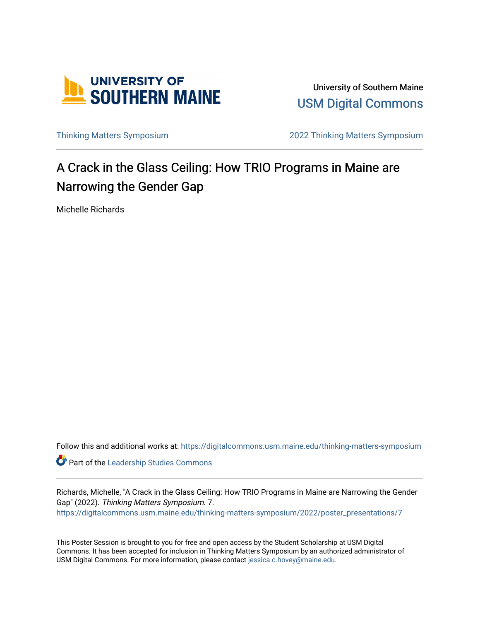

University of Southern Maine [USM Digital Commons](https://digitalcommons.usm.maine.edu/) 

[Thinking Matters Symposium](https://digitalcommons.usm.maine.edu/thinking-matters-symposium) [2022 Thinking Matters Symposium](https://digitalcommons.usm.maine.edu/thinking-matters-symposium/2022) 

#### A Crack in the Glass Ceiling: How TRIO Programs in Maine are Narrowing the Gender Gap

Michelle Richards

Follow this and additional works at: [https://digitalcommons.usm.maine.edu/thinking-matters-symposium](https://digitalcommons.usm.maine.edu/thinking-matters-symposium?utm_source=digitalcommons.usm.maine.edu%2Fthinking-matters-symposium%2F2022%2Fposter_presentations%2F7&utm_medium=PDF&utm_campaign=PDFCoverPages) 

**Part of the Leadership Studies Commons** 

Richards, Michelle, "A Crack in the Glass Ceiling: How TRIO Programs in Maine are Narrowing the Gender Gap" (2022). Thinking Matters Symposium. 7. [https://digitalcommons.usm.maine.edu/thinking-matters-symposium/2022/poster\\_presentations/7](https://digitalcommons.usm.maine.edu/thinking-matters-symposium/2022/poster_presentations/7?utm_source=digitalcommons.usm.maine.edu%2Fthinking-matters-symposium%2F2022%2Fposter_presentations%2F7&utm_medium=PDF&utm_campaign=PDFCoverPages)

This Poster Session is brought to you for free and open access by the Student Scholarship at USM Digital Commons. It has been accepted for inclusion in Thinking Matters Symposium by an authorized administrator of USM Digital Commons. For more information, please contact [jessica.c.hovey@maine.edu](mailto:ian.fowler@maine.edu).